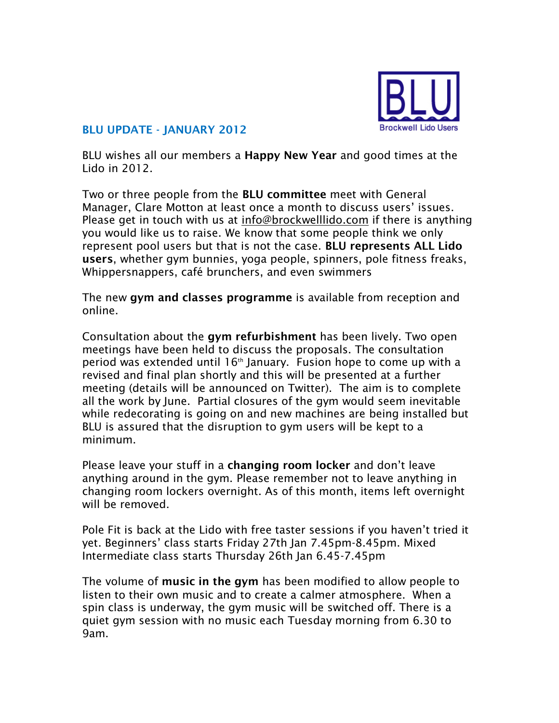

## **BLU UPDATE - JANUARY 2012**

BLU wishes all our members a **Happy New Year** and good times at the Lido in 2012.

Two or three people from the **BLU committee** meet with General Manager, Clare Motton at least once a month to discuss users' issues. Please get in touch with us at [info@brockwelllido.com](mailto:info@brockwelllido.com) if there is anything you would like us to raise. We know that some people think we only represent pool users but that is not the case. **BLU represents ALL Lido users**, whether gym bunnies, yoga people, spinners, pole fitness freaks, Whippersnappers, café brunchers, and even swimmers

The new **gym and classes programme** is available from reception and online.

Consultation about the **gym refurbishment** has been lively. Two open meetings have been held to discuss the proposals. The consultation period was extended until  $16<sup>th</sup>$  January. Fusion hope to come up with a revised and final plan shortly and this will be presented at a further meeting (details will be announced on Twitter). The aim is to complete all the work by June. Partial closures of the gym would seem inevitable while redecorating is going on and new machines are being installed but BLU is assured that the disruption to gym users will be kept to a minimum.

Please leave your stuff in a **changing room locker** and don't leave anything around in the gym. Please remember not to leave anything in changing room lockers overnight. As of this month, items left overnight will be removed.

Pole Fit is back at the Lido with free taster sessions if you haven't tried it yet. Beginners' class starts Friday 27th Jan 7.45pm-8.45pm. Mixed Intermediate class starts Thursday 26th Jan 6.45-7.45pm

The volume of **music in the gym** has been modified to allow people to listen to their own music and to create a calmer atmosphere. When a spin class is underway, the gym music will be switched off. There is a quiet gym session with no music each Tuesday morning from 6.30 to 9am.